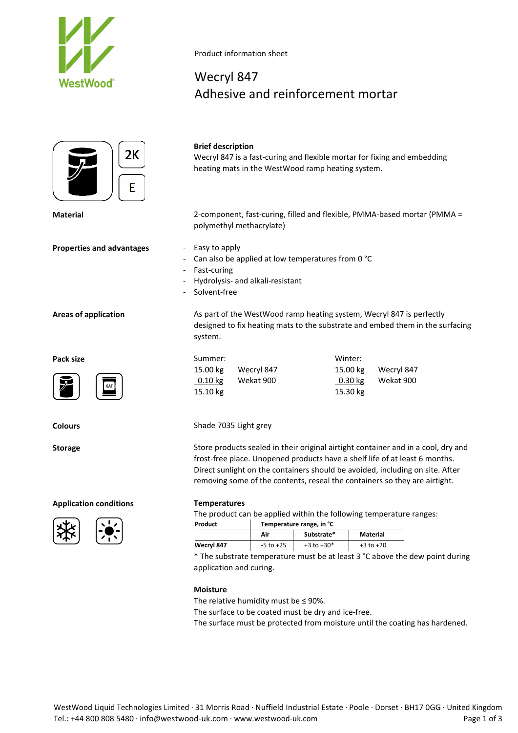



**Properties and advantages - Easy to apply** 

Product information sheet

# Wecryl 847 Adhesive and reinforcement mortar

**Brief description** Wecryl 847 is a fast-curing and flexible mortar for fixing and embedding heating mats in the WestWood ramp heating system.

**Material** 2-component, fast-curing, filled and flexible, PMMA-based mortar (PMMA = polymethyl methacrylate)

- 
- Can also be applied at low temperatures from 0 °C
- Fast-curing
- Hydrolysis- and alkali-resistant
- Solvent-free

**Areas of application** As part of the WestWood ramp heating system, Wecryl 847 is perfectly designed to fix heating mats to the substrate and embed them in the surfacing system.

| Pack size                                       | Summer:                | Winter:                        |
|-------------------------------------------------|------------------------|--------------------------------|
|                                                 | 15.00 kg<br>Wecryl 847 | Wecryl 847<br>15.00 kg         |
| $\boxed{\bm{7}}$<br>$\sqrt{\frac{1}{\sqrt{1}}}$ | Wekat 900<br>$0.10$ kg | Wekat 900<br>$0.30 \text{ kg}$ |
|                                                 | 15.10 kg               | 15.30 kg                       |

**Colours** Shade 7035 Light grey

**Storage** Store products sealed in their original airtight container and in a cool, dry and frost-free place. Unopened products have a shelf life of at least 6 months. Direct sunlight on the containers should be avoided, including on site. After removing some of the contents, reseal the containers so they are airtight.

The product can be applied within the following temperature ranges:<br>
Temperature range in %

| Product    | Temperature range, in °C |                |               |  |
|------------|--------------------------|----------------|---------------|--|
|            | Air                      | Substrate*     | Material      |  |
| Wecryl 847 | $-5$ to $+25$            | $+3$ to $+30*$ | $+3$ to $+20$ |  |

\* The substrate temperature must be at least 3 °C above the dew point during application and curing.

# **Moisture**

The relative humidity must be  $\leq$  90%.

The surface to be coated must be dry and ice-free.

The surface must be protected from moisture until the coating has hardened.





# **Application conditions Temperatures**



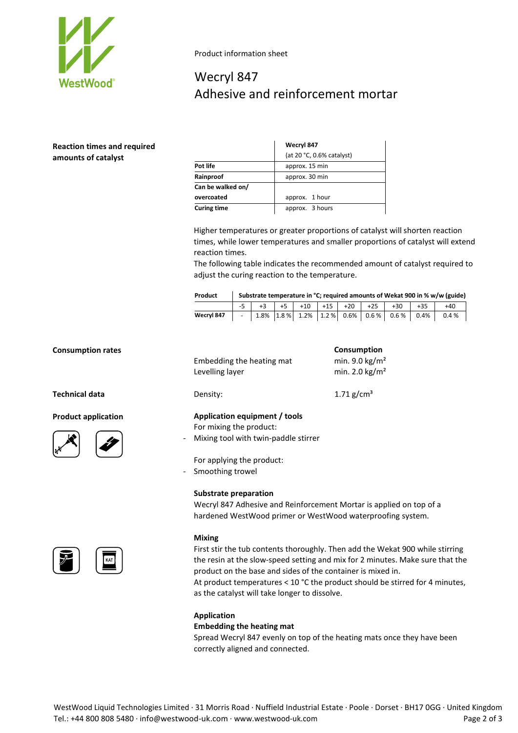

Product information sheet

# Wecryl 847 Adhesive and reinforcement mortar

# **Reaction times and required amounts of catalyst**

|                    | Wecryl 847                |  |
|--------------------|---------------------------|--|
|                    | (at 20 °C, 0.6% catalyst) |  |
| Pot life           | approx. 15 min            |  |
| Rainproof          | approx. 30 min            |  |
| Can be walked on/  |                           |  |
| overcoated         | approx. 1 hour            |  |
| <b>Curing time</b> | approx. 3 hours           |  |

Higher temperatures or greater proportions of catalyst will shorten reaction times, while lower temperatures and smaller proportions of catalyst will extend reaction times.

The following table indicates the recommended amount of catalyst required to adjust the curing reaction to the temperature.

| Product    | Substrate temperature in °C; required amounts of Wekat 900 in % w/w (guide) |  |  |  |  |  |                                     |       |                                                       |
|------------|-----------------------------------------------------------------------------|--|--|--|--|--|-------------------------------------|-------|-------------------------------------------------------|
|            |                                                                             |  |  |  |  |  | $-5$ +3 +5 +5 +10 +15 +20 +25 +30 + | $+35$ | $+40$                                                 |
| Wecryl 847 |                                                                             |  |  |  |  |  |                                     |       | $-$ 1.8% 1.8% 1.2% 1.2% 0.6% 0.6% 0.6% 0.6% 0.4% 0.4% |

# **Consumption rates Consumption**

**Technical data** 

**Product application** 





|  | KAT |
|--|-----|

|                          | Embedding the heating mat<br>Levelling layer                                                     | min. 9.0 $\text{kg/m}^2$<br>min. 2.0 $\text{kg/m}^2$ |
|--------------------------|--------------------------------------------------------------------------------------------------|------------------------------------------------------|
|                          | Density:                                                                                         | 1.71 $g/cm^{3}$                                      |
| $\overline{\phantom{0}}$ | Application equipment / tools<br>For mixing the product:<br>Mixing tool with twin-paddle stirrer |                                                      |
| $\sim$                   | For applying the product:<br>Smoothing trowel                                                    |                                                      |
|                          | Cubatuata wuxusunti                                                                              |                                                      |

# **Substrate preparation**

Wecryl 847 Adhesive and Reinforcement Mortar is applied on top of a hardened WestWood primer or WestWood waterproofing system.

#### **Mixing**

First stir the tub contents thoroughly. Then add the Wekat 900 while stirring the resin at the slow-speed setting and mix for 2 minutes. Make sure that the product on the base and sides of the container is mixed in. At product temperatures < 10 °C the product should be stirred for 4 minutes, as the catalyst will take longer to dissolve.

# **Application**

# **Embedding the heating mat**

Spread Wecryl 847 evenly on top of the heating mats once they have been correctly aligned and connected.